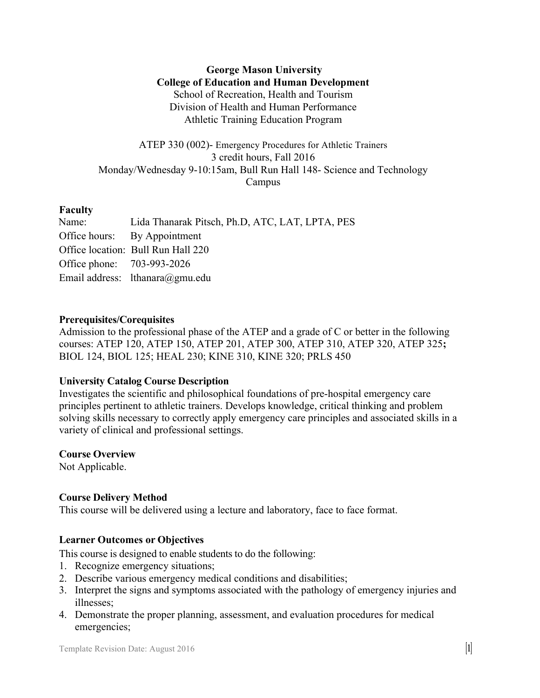**George Mason University College of Education and Human Development** School of Recreation, Health and Tourism Division of Health and Human Performance Athletic Training Education Program

ATEP 330 (002)- Emergency Procedures for Athletic Trainers 3 credit hours, Fall 2016 Monday/Wednesday 9-10:15am, Bull Run Hall 148- Science and Technology Campus

# **Faculty**

| Name:                      | Lida Thanarak Pitsch, Ph.D., ATC, LAT, LPTA, PES |
|----------------------------|--------------------------------------------------|
|                            | Office hours: By Appointment                     |
|                            | Office location: Bull Run Hall 220               |
| Office phone: 703-993-2026 |                                                  |
|                            | Email address: lthanara@gmu.edu                  |

# **Prerequisites/Corequisites**

Admission to the professional phase of the ATEP and a grade of C or better in the following courses: ATEP 120, ATEP 150, ATEP 201, ATEP 300, ATEP 310, ATEP 320, ATEP 325**;**  BIOL 124, BIOL 125; HEAL 230; KINE 310, KINE 320; PRLS 450

# **University Catalog Course Description**

Investigates the scientific and philosophical foundations of pre-hospital emergency care principles pertinent to athletic trainers. Develops knowledge, critical thinking and problem solving skills necessary to correctly apply emergency care principles and associated skills in a variety of clinical and professional settings.

## **Course Overview**

Not Applicable.

# **Course Delivery Method**

This course will be delivered using a lecture and laboratory, face to face format.

# **Learner Outcomes or Objectives**

This course is designed to enable students to do the following:

- 1. Recognize emergency situations;
- 2. Describe various emergency medical conditions and disabilities;
- 3. Interpret the signs and symptoms associated with the pathology of emergency injuries and illnesses;
- 4. Demonstrate the proper planning, assessment, and evaluation procedures for medical emergencies;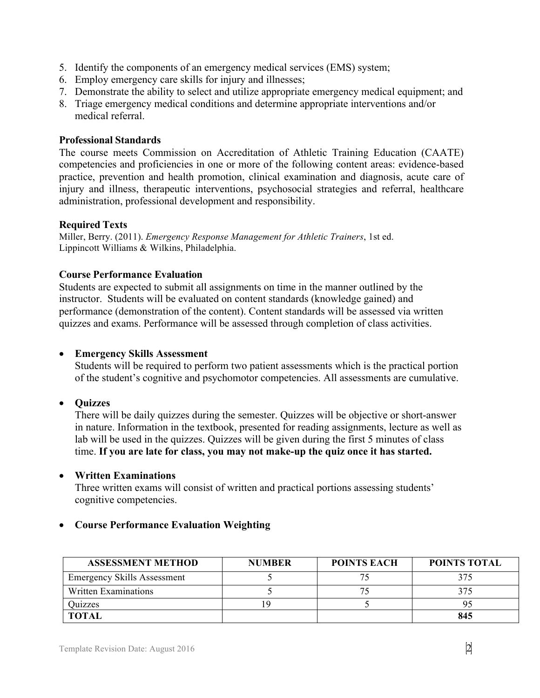- 5. Identify the components of an emergency medical services (EMS) system;
- 6. Employ emergency care skills for injury and illnesses;
- 7. Demonstrate the ability to select and utilize appropriate emergency medical equipment; and
- 8. Triage emergency medical conditions and determine appropriate interventions and/or medical referral.

## **Professional Standards**

The course meets Commission on Accreditation of Athletic Training Education (CAATE) competencies and proficiencies in one or more of the following content areas: evidence-based practice, prevention and health promotion, clinical examination and diagnosis, acute care of injury and illness, therapeutic interventions, psychosocial strategies and referral, healthcare administration, professional development and responsibility.

# **Required Texts**

Miller, Berry. (2011). *Emergency Response Management for Athletic Trainers*, 1st ed. Lippincott Williams & Wilkins, Philadelphia.

# **Course Performance Evaluation**

Students are expected to submit all assignments on time in the manner outlined by the instructor. Students will be evaluated on content standards (knowledge gained) and performance (demonstration of the content). Content standards will be assessed via written quizzes and exams. Performance will be assessed through completion of class activities.

# • **Emergency Skills Assessment**

Students will be required to perform two patient assessments which is the practical portion of the student's cognitive and psychomotor competencies. All assessments are cumulative.

# • **Quizzes**

There will be daily quizzes during the semester. Quizzes will be objective or short-answer in nature. Information in the textbook, presented for reading assignments, lecture as well as lab will be used in the quizzes. Quizzes will be given during the first 5 minutes of class time. **If you are late for class, you may not make-up the quiz once it has started.**

## • **Written Examinations**

Three written exams will consist of written and practical portions assessing students' cognitive competencies.

# • **Course Performance Evaluation Weighting**

| <b>ASSESSMENT METHOD</b>           | <b>NUMBER</b> | <b>POINTS EACH</b> | <b>POINTS TOTAL</b> |
|------------------------------------|---------------|--------------------|---------------------|
| <b>Emergency Skills Assessment</b> |               |                    | 375                 |
| Written Examinations               |               |                    | 375                 |
| Quizzes                            |               |                    |                     |
| <b>TOTAL</b>                       |               |                    | 845                 |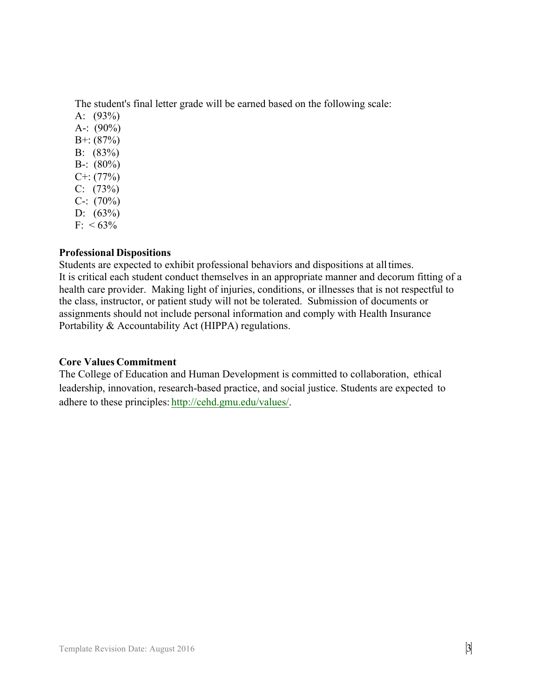The student's final letter grade will be earned based on the following scale:

A: (93%) A-:  $(90\%)$ B+: (87%) B: (83%) B-:  $(80\%)$  $C^{+}$ : (77%)  $C: (73%)$ C-:  $(70\%)$ D:  $(63\%)$  $F: < 63\%$ 

# **Professional Dispositions**

Students are expected to exhibit professional behaviors and dispositions at alltimes. It is critical each student conduct themselves in an appropriate manner and decorum fitting of a health care provider. Making light of injuries, conditions, or illnesses that is not respectful to the class, instructor, or patient study will not be tolerated. Submission of documents or assignments should not include personal information and comply with Health Insurance Portability & Accountability Act (HIPPA) regulations.

## **Core Values Commitment**

The College of Education and Human Development is committed to collaboration, ethical leadership, innovation, research-based practice, and social justice. Students are expected to adhere to these principles: http://cehd.gmu.edu/values/.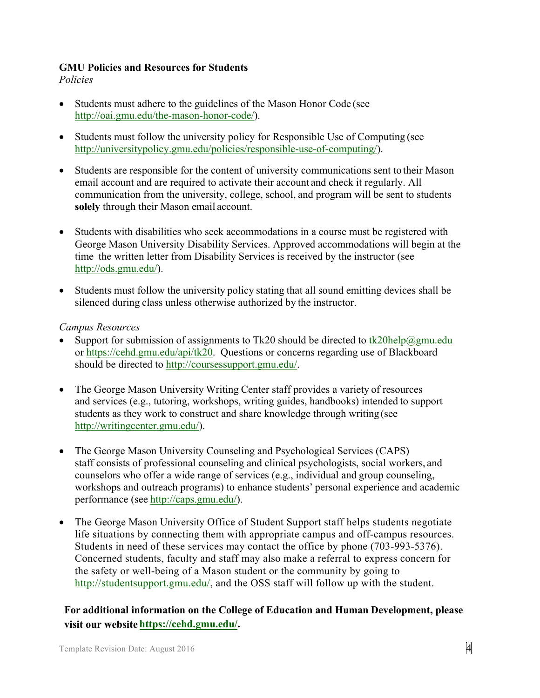# **GMU Policies and Resources for Students**

*Policies*

- Students must adhere to the guidelines of the Mason Honor Code (see http://oai.gmu.edu/the-mason-honor-code/).
- Students must follow the university policy for Responsible Use of Computing (see http://universitypolicy.gmu.edu/policies/responsible-use-of-computing/).
- Students are responsible for the content of university communications sent to their Mason email account and are required to activate their account and check it regularly. All communication from the university, college, school, and program will be sent to students **solely** through their Mason email account.
- Students with disabilities who seek accommodations in a course must be registered with George Mason University Disability Services. Approved accommodations will begin at the time the written letter from Disability Services is received by the instructor (see http://ods.gmu.edu/).
- Students must follow the university policy stating that all sound emitting devices shall be silenced during class unless otherwise authorized by the instructor.

## *Campus Resources*

- Support for submission of assignments to Tk20 should be directed to tk20help@gmu.edu or https://cehd.gmu.edu/api/tk20. Questions or concerns regarding use of Blackboard should be directed to http://coursessupport.gmu.edu/.
- The George Mason University Writing Center staff provides a variety of resources and services (e.g., tutoring, workshops, writing guides, handbooks) intended to support students as they work to construct and share knowledge through writing (see http://writingcenter.gmu.edu/).
- The George Mason University Counseling and Psychological Services (CAPS) staff consists of professional counseling and clinical psychologists, social workers, and counselors who offer a wide range of services (e.g., individual and group counseling, workshops and outreach programs) to enhance students' personal experience and academic performance (see http://caps.gmu.edu/).
- The George Mason University Office of Student Support staff helps students negotiate life situations by connecting them with appropriate campus and off-campus resources. Students in need of these services may contact the office by phone (703-993-5376). Concerned students, faculty and staff may also make a referral to express concern for the safety or well-being of a Mason student or the community by going to http://studentsupport.gmu.edu/, and the OSS staff will follow up with the student.

# **For additional information on the College of Education and Human Development, please visit our website https://cehd.gmu.edu/.**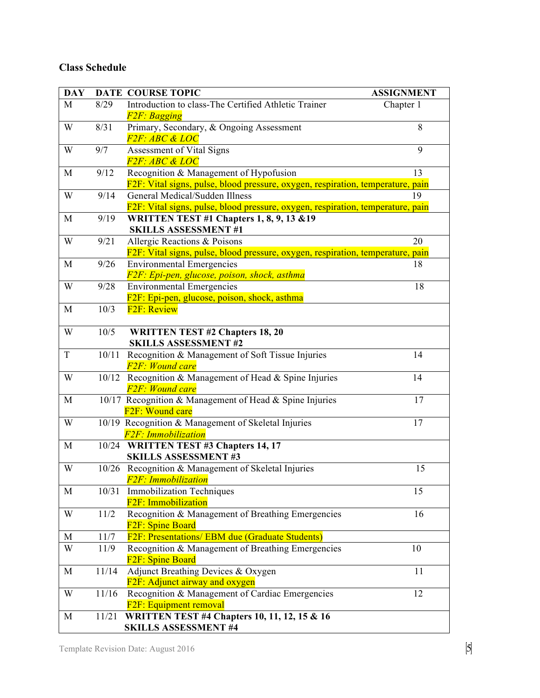# **Class Schedule**

| <b>DAY</b>  |       | <b>DATE COURSE TOPIC</b>                                                          | <b>ASSIGNMENT</b> |
|-------------|-------|-----------------------------------------------------------------------------------|-------------------|
| M           | 8/29  | Introduction to class-The Certified Athletic Trainer                              | Chapter 1         |
|             |       | F <sub>2</sub> F: Bagging                                                         |                   |
| W           | 8/31  | Primary, Secondary, & Ongoing Assessment                                          | 8                 |
|             |       | <i>F2F: ABC &amp; LOC</i>                                                         |                   |
| W           | 9/7   | Assessment of Vital Signs                                                         | 9                 |
|             |       | <i>F2F: ABC &amp; LOC</i>                                                         |                   |
| M           | 9/12  | Recognition & Management of Hypofusion                                            | 13                |
|             |       | F2F: Vital signs, pulse, blood pressure, oxygen, respiration, temperature, pain   |                   |
| W           | 9/14  | General Medical/Sudden Illness                                                    | 19                |
|             |       | F2F: Vital signs, pulse, blood pressure, oxygen, respiration, temperature, pain   |                   |
| M           | 9/19  | <b>WRITTEN TEST #1 Chapters 1, 8, 9, 13 &amp; 19</b>                              |                   |
|             |       | <b>SKILLS ASSESSMENT #1</b>                                                       |                   |
| W           | 9/21  | Allergic Reactions & Poisons                                                      | 20                |
|             |       | F2F: Vital signs, pulse, blood pressure, oxygen, respiration, temperature, pain   |                   |
| M           | 9/26  | <b>Environmental Emergencies</b>                                                  | 18                |
|             |       | F2F: Epi-pen, glucose, poison, shock, asthma                                      |                   |
| W           | 9/28  | <b>Environmental Emergencies</b>                                                  | 18                |
|             |       | F2F: Epi-pen, glucose, poison, shock, asthma                                      |                   |
| M           | 10/3  | F <sub>2F</sub> : Review                                                          |                   |
|             |       |                                                                                   |                   |
| W           | 10/5  | <b>WRITTEN TEST #2 Chapters 18, 20</b>                                            |                   |
|             |       | <b>SKILLS ASSESSMENT #2</b>                                                       |                   |
| $\mathbf T$ | 10/11 | Recognition & Management of Soft Tissue Injuries<br><b>F2F: Wound care</b>        | 14                |
|             |       |                                                                                   | 14                |
| W           |       | 10/12 Recognition & Management of Head & Spine Injuries<br><b>F2F: Wound care</b> |                   |
| M           |       | 10/17 Recognition & Management of Head & Spine Injuries                           | 17                |
|             |       | F <sub>2F</sub> : Wound care                                                      |                   |
| W           |       | 10/19 Recognition & Management of Skeletal Injuries                               | 17                |
|             |       | F <sub>2F</sub> : Immobilization                                                  |                   |
| M           |       | 10/24 WRITTEN TEST #3 Chapters 14, 17                                             |                   |
|             |       | <b>SKILLS ASSESSMENT #3</b>                                                       |                   |
| W           |       | 10/26 Recognition & Management of Skeletal Injuries                               | 15                |
|             |       | F2F: Immobilization                                                               |                   |
| M           | 10/31 | <b>Immobilization Techniques</b>                                                  | 15                |
|             |       | F <sub>2F</sub> : Immobilization                                                  |                   |
| W           | 11/2  | Recognition & Management of Breathing Emergencies                                 | 16                |
|             |       | F <sub>2F</sub> : Spine Board                                                     |                   |
| M           | 11/7  | F2F: Presentations/ EBM due (Graduate Students)                                   |                   |
| W           | 11/9  | Recognition & Management of Breathing Emergencies                                 | 10                |
|             |       | F <sub>2F</sub> : Spine Board                                                     |                   |
| M           | 11/14 | Adjunct Breathing Devices & Oxygen                                                | 11                |
|             |       | F2F: Adjunct airway and oxygen                                                    |                   |
| W           | 11/16 | Recognition & Management of Cardiac Emergencies                                   | 12                |
|             |       | F <sub>2F</sub> : Equipment removal                                               |                   |
| M           | 11/21 | <b>WRITTEN TEST #4 Chapters 10, 11, 12, 15 &amp; 16</b>                           |                   |
|             |       | <b>SKILLS ASSESSMENT #4</b>                                                       |                   |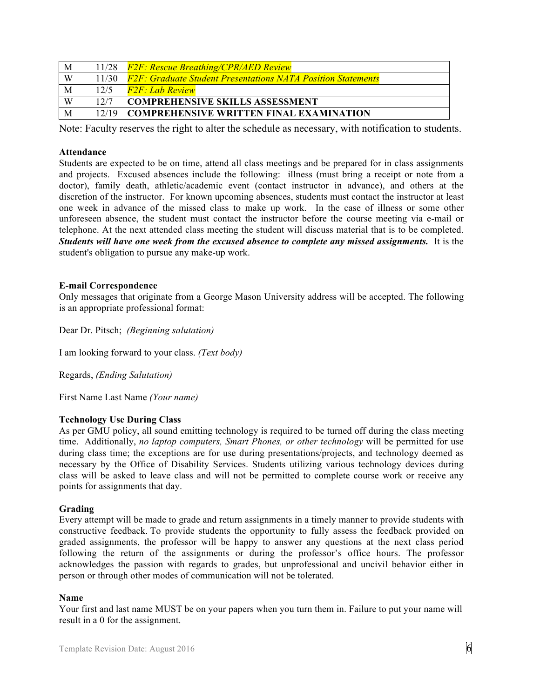| M | 11/28 | <b>F2F: Rescue Breathing/CPR/AED Review</b>                         |
|---|-------|---------------------------------------------------------------------|
| W | 11/30 | <b>F2F: Graduate Student Presentations NATA Position Statements</b> |
| M | 12/5  | $F2F \cdot Lab$ Review                                              |
| W | 12/7  | <b>COMPREHENSIVE SKILLS ASSESSMENT</b>                              |
| M | 12/19 | <b>COMPREHENSIVE WRITTEN FINAL EXAMINATION</b>                      |

Note: Faculty reserves the right to alter the schedule as necessary, with notification to students.

#### **Attendance**

Students are expected to be on time, attend all class meetings and be prepared for in class assignments and projects. Excused absences include the following: illness (must bring a receipt or note from a doctor), family death, athletic/academic event (contact instructor in advance), and others at the discretion of the instructor. For known upcoming absences, students must contact the instructor at least one week in advance of the missed class to make up work. In the case of illness or some other unforeseen absence, the student must contact the instructor before the course meeting via e-mail or telephone. At the next attended class meeting the student will discuss material that is to be completed. *Students will have one week from the excused absence to complete any missed assignments.* It is the student's obligation to pursue any make-up work.

### **E-mail Correspondence**

Only messages that originate from a George Mason University address will be accepted. The following is an appropriate professional format:

Dear Dr. Pitsch; *(Beginning salutation)*

I am looking forward to your class. *(Text body)*

Regards, *(Ending Salutation)*

First Name Last Name *(Your name)*

#### **Technology Use During Class**

As per GMU policy, all sound emitting technology is required to be turned off during the class meeting time. Additionally, *no laptop computers, Smart Phones, or other technology* will be permitted for use during class time; the exceptions are for use during presentations/projects, and technology deemed as necessary by the Office of Disability Services. Students utilizing various technology devices during class will be asked to leave class and will not be permitted to complete course work or receive any points for assignments that day.

#### **Grading**

Every attempt will be made to grade and return assignments in a timely manner to provide students with constructive feedback. To provide students the opportunity to fully assess the feedback provided on graded assignments, the professor will be happy to answer any questions at the next class period following the return of the assignments or during the professor's office hours. The professor acknowledges the passion with regards to grades, but unprofessional and uncivil behavior either in person or through other modes of communication will not be tolerated.

#### **Name**

Your first and last name MUST be on your papers when you turn them in. Failure to put your name will result in a 0 for the assignment.